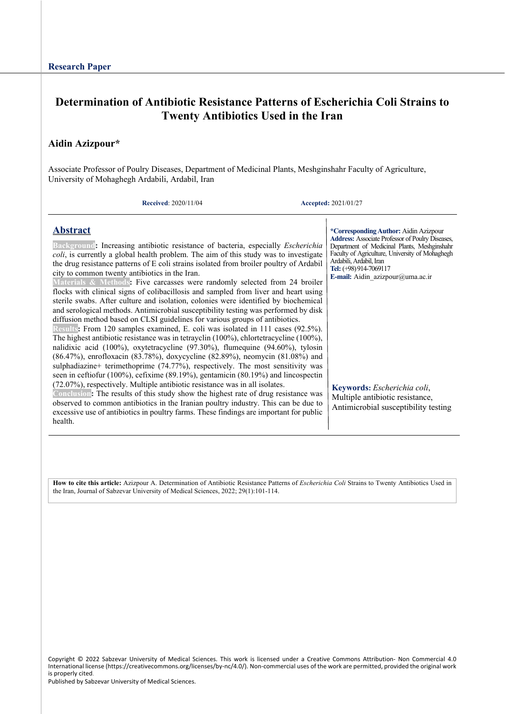# **Determination of Antibiotic Resistance Patterns of Escherichia Coli Strains to Twenty Antibiotics Used in the Iran**

### **Aidin Azizpour\***

Associate Professor of Poulry Diseases, Department of Medicinal Plants, Meshginshahr Faculty of Agriculture, University of Mohaghegh Ardabili, Ardabil, Iran

**Received**: 2020/11/04 **Accepted:** 2021/01/27

### **Abstract**

**Background:** Increasing antibiotic resistance of bacteria, especially *Escherichia coli*, is currently a global health problem. The aim of this study was to investigate the drug resistance patterns of E coli strains isolated from broiler poultry of Ardabil city to common twenty antibiotics in the Iran.

**Materials & Methods:** Five carcasses were randomly selected from 24 broiler flocks with clinical signs of colibacillosis and sampled from liver and heart using sterile swabs. After culture and isolation, colonies were identified by biochemical and serological methods. Antimicrobial susceptibility testing was performed by disk diffusion method based on CLSI guidelines for various groups of antibiotics.

**Results:** From 120 samples examined, E. coli was isolated in 111 cases (92.5%). The highest antibiotic resistance was in tetrayclin (100%), chlortetracycline (100%), nalidixic acid (100%), oxytetracycline (97.30%), flumequine (94.60%), tylosin (86.47%), enrofloxacin (83.78%), doxycycline (82.89%), neomycin (81.08%) and sulphadiazine+ terimethoprime (74.77%), respectively. The most sensitivity was seen in ceftiofur (100%), cefixime (89.19%), gentamicin (80.19%) and lincospectin (72.07%), respectively. Multiple antibiotic resistance was in all isolates.

**Conclusion:** The results of this study show the highest rate of drug resistance was observed to common antibiotics in the Iranian poultry industry. This can be due to excessive use of antibiotics in poultry farms. These findings are important for public health.

**\*CorrespondingAuthor:** Aidin Azizpour **Address:** Associate Professor of Poulry Diseases, Department of Medicinal Plants, Meshginshahr Faculty of Agriculture, University of Mohaghegh Ardabili, Ardabil, Iran **Tel:** (+98) 914-7069117

**E-mail:** Aidin\_azizpour@uma.ac.ir

**Keywords:** *Escherichia coli*, Multiple antibiotic resistance, Antimicrobial susceptibility testing

**How to cite this article:** Azizpour A. Determination of Antibiotic Resistance Patterns of *Escherichia Coli* Strains to Twenty Antibiotics Used in the Iran, Journal of Sabzevar University of Medical Sciences, 2022; 29(1):101-114.

Copyright © 2022 Sabzevar University of Medical Sciences. This work is licensed under a Creative Commons Attribution- Non Commercial 4.0 International license (https://creativecommons.org/licenses/by-nc/4.0/). Non-commercial uses of the work are permitted, provided the original work is properly cited.

Published by Sabzevar University of Medical Sciences.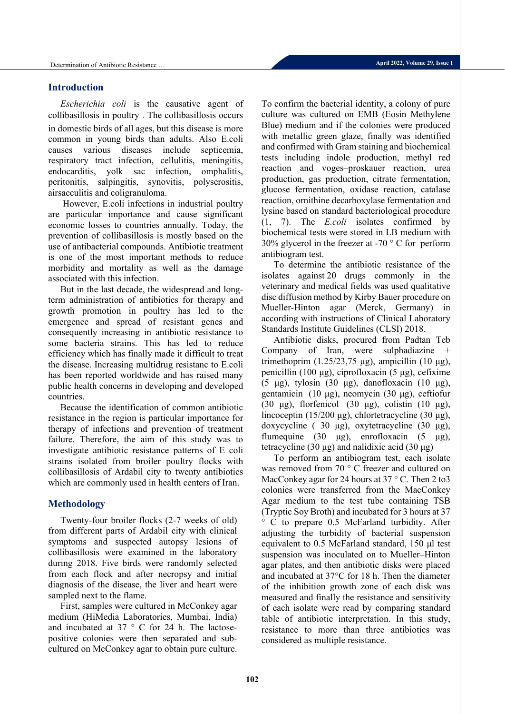### **Introduction**

*Escherichia coli* is the causative agent of collibasillosis in poultry . The collibasillosis occurs in domestic birds of all ages, but this disease is more common in young birds than adults. Also E.coli causes various diseases include septicemia, respiratory tract infection, cellulitis, meningitis, endocarditis, yolk sac infection, omphalitis, peritonitis, salpingitis, synovitis, polyserositis, airsacculitis and coligranuloma.

However, E.coli infections in industrial poultry are particular importance and cause significant economic losses to countries annually. Today, the prevention of collibasillosis is mostly based on the use of antibacterial compounds. Antibiotic treatment is one of the most important methods to reduce morbidity and mortality as well as the damage associated with this infection.

But in the last decade, the widespread and longterm administration of antibiotics for therapy and growth promotion in poultry has led to the emergence and spread of resistant genes and consequently increasing in antibiotic resistance to some bacteria strains. This has led to reduce efficiency which has finally made it difficult to treat the disease. Increasing multidrug resistanc to E.coli has been reported worldwide and has raised many public health concerns in developing and developed countries.

Because the identification of common antibiotic resistance in the region is particular importance for therapy of infections and prevention of treatment failure. Therefore, the aim of this study was to investigate antibiotic resistance patterns of E coli strains isolated from broiler poultry flocks with collibasillosis of Ardabil city to twenty antibiotics which are commonly used in health centers of Iran.

### **Methodology**

Twenty-four broiler flocks (2-7 weeks of old) from different parts of Ardabil city with clinical symptoms and suspected autopsy lesions of collibasillosis were examined in the laboratory during 2018. Five birds were randomly selected from each flock and after necropsy and initial diagnosis of the disease, the liver and heart were sampled next to the flame.

First, samples were cultured in McConkey agar medium (HiMedia Laboratories, Mumbai, India) and incubated at 37 ° C for 24 h. The lactosepositive colonies were then separated and subcultured on McConkey agar to obtain pure culture.

To confirm the bacterial identity, a colony of pure culture was cultured on EMB (Eosin Methylene Blue) medium and if the colonies were produced with metallic green glaze, finally was identified and confirmed with Gram staining and biochemical tests including indole production, methyl red reaction and voges–proskauer reaction, urea production, gas production, citrate fermentation, glucose fermentation, oxidase reaction, catalase reaction, ornithine decarboxylase fermentation and lysine based on standard bacteriological procedure (1, 7). The *E.coli* isolates confirmed by biochemical tests were stored in LB medium with 30% glycerol in the freezer at -70  $\degree$  C for perform antibiogram test.

To determine the antibiotic resistance of the isolates against 20 drugs commonly in the veterinary and medical fields was used qualitative disc diffusion method by Kirby Bauer procedure on Mueller-Hinton agar (Merck, Germany) in according with instructions of Clinical Laboratory Standards Institute Guidelines (CLSI) 2018.

Antibiotic disks, procured from Padtan Teb Company of Iran, were sulphadiazine + trimethoprim  $(1.25/23,75 \mu g)$ , ampicillin  $(10 \mu g)$ , penicillin (100 μg), ciprofloxacin (5 μg), cefixime (5 μg), tylosin (30 μg), danofloxacin (10 μg), gentamicin (10 μg), neomycin (30 μg), ceftiofur (30 μg), florfenicol (30 μg), colistin (10 μg), lincoceptin (15/200 μg), chlortetracycline (30 μg), doxycycline ( 30 μg), oxytetracycline (30 μg), flumequine (30 μg), enrofloxacin (5 μg), tetracycline (30 μg) and nalidixic acid (30 μg)

To perform an antibiogram test, each isolate was removed from 70 ° C freezer and cultured on MacConkey agar for 24 hours at 37 °C. Then 2 to 3 colonies were transferred from the MacConkey Agar medium to the test tube containing TSB (Tryptic Soy Broth) and incubated for 3 hours at 37 ° C to prepare 0.5 McFarland turbidity. After adjusting the turbidity of bacterial suspension equivalent to 0.5 McFarland standard, 150 μl test suspension was inoculated on to Mueller–Hinton agar plates, and then antibiotic disks were placed and incubated at 37°C for 18 h. Then the diameter of the inhibition growth zone of each disk was measured and finally the resistance and sensitivity of each isolate were read by comparing standard table of antibiotic interpretation. In this study, resistance to more than three antibiotics was considered as multiple resistance.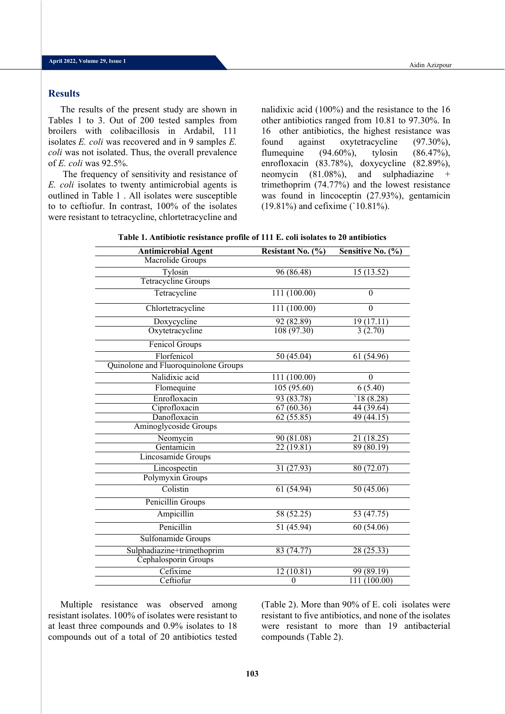### **Results**

The results of the present study are shown in Tables 1 to 3. Out of 200 tested samples from broilers with colibacillosis in Ardabil, 111 isolates *E. coli* was recovered and in 9 samples *E. coli* was not isolated. Thus, the overall prevalence of *E. coli* was 92.5%.

The frequency of sensitivity and resistance of *E. coli* isolates to twenty antimicrobial agents is outlined in Table 1 . All isolates were susceptible to to ceftiofur. In contrast, 100% of the isolates were resistant to tetracycline, chlortetracycline and

nalidixic acid (100%) and the resistance to the 16 other antibiotics ranged from 10.81 to 97.30%. In 16 other antibiotics, the highest resistance was found against oxytetracycline (97.30%), flumequine (94.60%), tylosin (86.47%), enrofloxacin (83.78%), doxycycline (82.89%), neomycin (81.08%), and sulphadiazine + trimethoprim (74.77%) and the lowest resistance was found in lincoceptin (27.93%), gentamicin (19.81%) and cefixime (`10.81%).

| <b>Antimicrobial Agent</b>           | Resistant No. (%) | Sensitive No. $(\%)$   |
|--------------------------------------|-------------------|------------------------|
| Macrolide Groups                     |                   |                        |
| Tylosin                              | 96 (86.48)        | 15 (13.52)             |
| <b>Tetracycline Groups</b>           |                   |                        |
| Tetracycline                         | 111(100.00)       | $\theta$               |
| Chlortetracycline                    | 111(100.00)       | $\mathbf{0}$           |
| Doxycycline                          | 92(82.89)         | 19(17.11)              |
| Oxytetracycline                      | 108(97.30)        | 3(2.70)                |
| Fenicol Groups                       |                   |                        |
| Florfenicol                          | 50(45.04)         | 61(54.96)              |
| Quinolone and Fluoroquinolone Groups |                   |                        |
| Nalidixic acid                       | 111 (100.00)      | $\theta$               |
| Flomequine                           | 105(95.60)        | 6(5.40)                |
| Enrofloxacin                         | 93 (83.78)        | 18 (8.28)              |
| Ciprofloxacin                        | 67(60.36)         | 44(39.64)              |
| Danofloxacin                         | 62(55.85)         | $\overline{49(44.15)}$ |
| Aminoglycoside Groups                |                   |                        |
| Neomycin                             | 90(81.08)         | 21(18.25)              |
| Gentamicin                           | 22(19.81)         | 89(80.19)              |
| Lincosamide Groups                   |                   |                        |
| Lincospectin                         | 31 (27.93)        | 80 (72.07)             |
| Polymyxin Groups                     |                   |                        |
| Colistin                             | 61(54.94)         | 50(45.06)              |
| Penicillin Groups                    |                   |                        |
| Ampicillin                           | 58(52.25)         | $5\overline{3(47.75)}$ |
| Penicillin                           | 51(45.94)         | 60(54.06)              |
| Sulfonamide Groups                   |                   |                        |
| Sulphadiazine+trimethoprim           | 83 (74.77)        | 28 (25.33)             |
| Cephalosporin Groups                 |                   |                        |
| Cefixime                             | 12(10.81)         | 99 (89.19)             |
| Ceftiofur                            | $\overline{0}$    | 111 (100.00)           |

**Table 1. Antibiotic resistance profile of 111 E. coli isolates to 20 antibiotics**

Multiple resistance was observed among resistant isolates. 100% of isolates were resistant to at least three compounds and 0.9% isolates to 18 compounds out of a total of 20 antibiotics tested

(Table 2). More than 90% of E. coli isolates were resistant to five antibiotics, and none of the isolates were resistant to more than 19 antibacterial compounds (Table 2).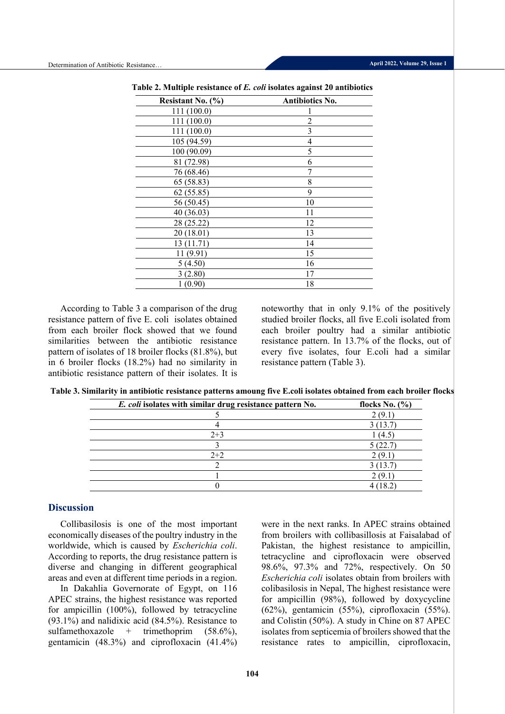| Resistant No. $(\% )$ | Antibiotics No. |
|-----------------------|-----------------|
| 111 (100.0)           |                 |
| 111(100.0)            | $\overline{2}$  |
| 111 (100.0)           | 3               |
| 105 (94.59)           | 4               |
| 100 (90.09)           | 5               |
| 81 (72.98)            | 6               |
| 76 (68.46)            | 7               |
| 65 (58.83)            | 8               |
| 62(55.85)             | 9               |
| 56 (50.45)            | 10              |
| 40 (36.03)            | 11              |
| 28 (25.22)            | 12              |
| 20(18.01)             | 13              |
| 13(11.71)             | 14              |
| 11 (9.91)             | 15              |
| 5(4.50)               | 16              |
| 3(2.80)               | 17              |
| 1(0.90)               | 18              |
|                       |                 |

**Table 2. Multiple resistance of** *E. coli* **isolates against 20 antibiotics**

According to Table 3 a comparison of the drug resistance pattern of five E. coli isolates obtained from each broiler flock showed that we found similarities between the antibiotic resistance pattern of isolates of 18 broiler flocks (81.8%), but in 6 broiler flocks (18.2%) had no similarity in antibiotic resistance pattern of their isolates. It is

noteworthy that in only 9.1% of the positively studied broiler flocks, all five E.coli isolated from each broiler poultry had a similar antibiotic resistance pattern. In 13.7% of the flocks, out of every five isolates, four E.coli had a similar resistance pattern (Table 3).

**Table 3. Similarity in antibiotic resistance patterns amoung five E.coli isolates obtained from each broiler flocks**

| E. coli isolates with similar drug resistance pattern No. | flocks No. $(\% )$ |
|-----------------------------------------------------------|--------------------|
|                                                           | 2(9.1)             |
|                                                           | 3(13.7)            |
| $2 + 3$                                                   | 1(4.5)             |
|                                                           | 5(22.7)            |
| $2+2$                                                     | 2 (9.1)            |
|                                                           | 3(13.7)            |
|                                                           | 2 (9.1)            |
|                                                           | 4 (18.2)           |

### **Discussion**

Collibasilosis is one of the most important economically diseases of the poultry industry in the worldwide, which is caused by *Escherichia coli*. According to reports, the drug resistance pattern is diverse and changing in different geographical areas and even at different time periods in a region.

In Dakahlia Governorate of Egypt, on 116 APEC strains, the highest resistance was reported for ampicillin (100%), followed by tetracycline (93.1%) and nalidixic acid (84.5%). Resistance to sulfamethoxazole + trimethoprim  $(58.6\%)$ , gentamicin (48.3%) and ciprofloxacin (41.4%)

were in the next ranks. In APEC strains obtained from broilers with collibasillosis at Faisalabad of Pakistan, the highest resistance to ampicillin, tetracycline and ciprofloxacin were observed 98.6%, 97.3% and 72%, respectively. On 50 *Escherichia coli* isolates obtain from broilers with colibasilosis in Nepal, The highest resistance were for ampicillin (98%), followed by doxycycline (62%), gentamicin (55%), ciprofloxacin (55%). and Colistin (50%). A study in Chine on 87 APEC isolates from septicemia of broilers showed that the resistance rates to ampicillin, ciprofloxacin,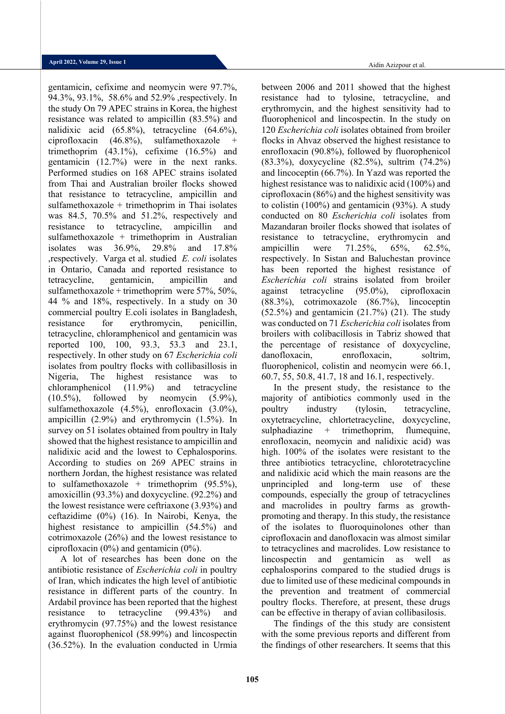gentamicin, cefixime and neomycin were 97.7%, 94.3%, 93.1%, 58.6% and 52.9% ,respectively. In the study On 79 APEC strains in Korea, the highest resistance was related to ampicillin (83.5%) and nalidixic acid (65.8%), tetracycline (64.6%), ciprofloxacin  $(46.8\%)$ , sulfamethoxazole + trimethoprim (43.1%), cefixime (16.5%) and gentamicin (12.7%) were in the next ranks. Performed studies on 168 APEC strains isolated from Thai and Australian broiler flocks showed that resistance to tetracycline, ampicillin and sulfamethoxazole + trimethoprim in Thai isolates was 84.5, 70.5% and 51.2%, respectively and resistance to tetracycline, ampicillin and sulfamethoxazole + trimethoprim in Australian isolates was 36.9%, 29.8% and 17.8% ,respectively. Varga et al. studied *E. coli* isolates in Ontario, Canada and reported resistance to tetracycline, gentamicin, ampicillin and sulfamethoxazole + trimethoprim were 57%, 50%, 44 % and 18%, respectively. In a study on 30 commercial poultry E.coli isolates in Bangladesh, resistance for erythromycin, penicillin, tetracycline, chloramphenicol and gentamicin was reported 100, 100, 93.3, 53.3 and 23.1, respectively. In other study on 67 *Escherichia coli* isolates from poultry flocks with collibasillosis in Nigeria, The highest resistance was to chloramphenicol (11.9%) and tetracycline  $(10.5\%)$ , followed by neomycin  $(5.9\%)$ , sulfamethoxazole (4.5%), enrofloxacin (3.0%), ampicillin (2.9%) and erythromycin (1.5%). In survey on 51 isolates obtained from poultry in Italy showed that the highest resistance to ampicillin and nalidixic acid and the lowest to Cephalosporins. According to studies on 269 APEC strains in northern Jordan, the highest resistance was related to sulfamethoxazole + trimethoprim  $(95.5\%),$ amoxicillin (93.3%) and doxycycline. (92.2%) and the lowest resistance were ceftriaxone (3.93%) and ceftazidime (0%) (16). In Nairobi, Kenya, the highest resistance to ampicillin (54.5%) and cotrimoxazole (26%) and the lowest resistance to ciprofloxacin (0%) and gentamicin (0%).

A lot of researches has been done on the antibiotic resistance of *Escherichia coli* in poultry of Iran, which indicates the high level of antibiotic resistance in different parts of the country. In Ardabil province has been reported that the highest resistance to tetracycline (99.43%) and erythromycin (97.75%) and the lowest resistance against fluorophenicol (58.99%) and lincospectin (36.52%). In the evaluation conducted in Urmia Aidin Azizpour et al.

between 2006 and 2011 showed that the highest resistance had to tylosine, tetracycline, and erythromycin, and the highest sensitivity had to fluorophenicol and lincospectin. In the study on 120 *Escherichia coli* isolates obtained from broiler flocks in Ahvaz observed the highest resistance to enrofloxacin (90.8%), followed by fluorophenicol (83.3%), doxycycline (82.5%), sultrim (74.2%) and lincoceptin (66.7%). In Yazd was reported the highest resistance was to nalidixic acid (100%) and ciprofloxacin (86%) and the highest sensitivity was to colistin (100%) and gentamicin (93%). A study conducted on 80 *Escherichia coli* isolates from Mazandaran broiler flocks showed that isolates of resistance to tetracycline, erythromycin and ampicillin were 71.25%, 65%, 62.5%, respectively. In Sistan and Baluchestan province has been reported the highest resistance of *Escherichia coli* strains isolated from broiler against tetracycline (95.0%), ciprofloxacin (88.3%), cotrimoxazole (86.7%), lincoceptin  $(52.5%)$  and gentamicin  $(21.7%)$   $(21)$ . The study was conducted on 71 *Escherichia coli* isolates from broilers with colibacillosis in Tabriz showed that the percentage of resistance of doxycycline, danofloxacin, enrofloxacin, soltrim, fluorophenicol, colistin and neomycin were 66.1, 60.7, 55, 50.8, 41.7, 18 and 16.1, respectively.

In the present study, the resistance to the majority of antibiotics commonly used in the poultry industry (tylosin, tetracycline, oxytetracycline, chlortetracycline, doxycycline, sulphadiazine + trimethoprim, flumequine, enrofloxacin, neomycin and nalidixic acid) was high. 100% of the isolates were resistant to the three antibiotics tetracycline, chlorotetracycline and nalidixic acid which the main reasons are the unprincipled and long-term use of these compounds, especially the group of tetracyclines and macrolides in poultry farms as growthpromoting and therapy. In this study, the resistance of the isolates to fluoroquinolones other than ciprofloxacin and danofloxacin was almost similar to tetracyclines and macrolides. Low resistance to lincospectin and gentamicin as well as cephalosporins compared to the studied drugs is due to limited use of these medicinal compounds in the prevention and treatment of commercial poultry flocks. Therefore, at present, these drugs can be effective in therapy of avian collibasilosis.

The findings of the this study are consistent with the some previous reports and different from the findings of other researchers. It seems that this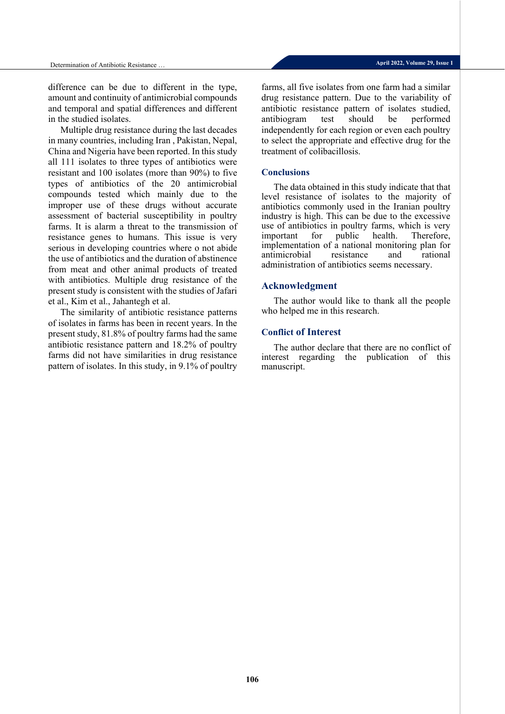difference can be due to different in the type, amount and continuity of antimicrobial compounds and temporal and spatial differences and different in the studied isolates.

Multiple drug resistance during the last decades in many countries, including Iran , Pakistan, Nepal, China and Nigeria have been reported. In this study all 111 isolates to three types of antibiotics were resistant and 100 isolates (more than 90%) to five types of antibiotics of the 20 antimicrobial compounds tested which mainly due to the improper use of these drugs without accurate assessment of bacterial susceptibility in poultry farms. It is alarm a threat to the transmission of resistance genes to humans. This issue is very serious in developing countries where o not abide the use of antibiotics and the duration of abstinence from meat and other animal products of treated with antibiotics. Multiple drug resistance of the present study is consistent with the studies of Jafari et al., Kim et al., Jahantegh et al.

The similarity of antibiotic resistance patterns of isolates in farms has been in recent years. In the present study, 81.8% of poultry farms had the same antibiotic resistance pattern and 18.2% of poultry farms did not have similarities in drug resistance pattern of isolates. In this study, in 9.1% of poultry farms, all five isolates from one farm had a similar drug resistance pattern. Due to the variability of antibiotic resistance pattern of isolates studied, antibiogram test should be performed independently for each region or even each poultry to select the appropriate and effective drug for the treatment of colibacillosis.

### **Conclusions**

The data obtained in this study indicate that that level resistance of isolates to the majority of antibiotics commonly used in the Iranian poultry industry is high. This can be due to the excessive use of antibiotics in poultry farms, which is very<br>important for public health. Therefore, important for public health. Therefore, implementation of a national monitoring plan for antimicrobial resistance and rational administration of antibiotics seems necessary.

### **Acknowledgment**

The author would like to thank all the people who helped me in this research.

### **Conflict of Interest**

The author declare that there are no conflict of interest regarding the publication of this manuscript.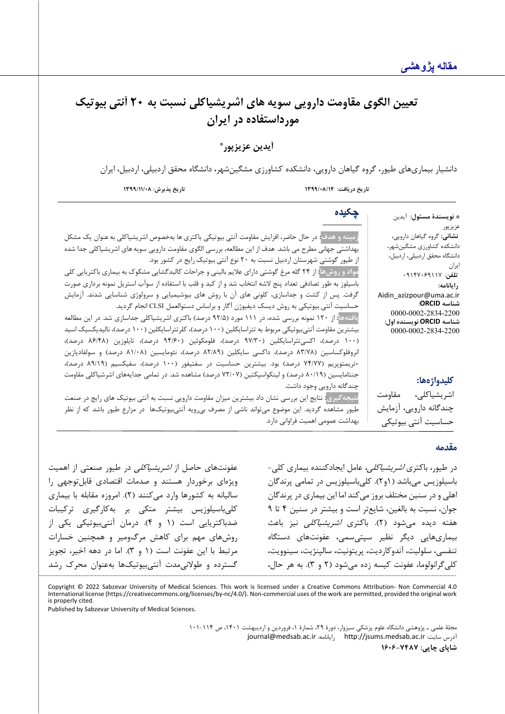# **تعیین الگو ي مقاومت دارویی سویه هاي اشریشیاکلی نسبت به 20 آنت ی بیوتیک مورداستفاده در ا یران**

**\* آیدین عزیزپور** 

دانشیار بیماریهای طیور، گروه گیاهان دارویی، دانشکده کشاورزی مشگین شهر، دانشگاه محقق اردبیلی، اردبیل، ایران

جنتامایسین (۸۰/۱۹ درصد) و لینکواسپکتین (۷۲/۰۷ درصد) مشاهده شد. در تمامی جدایههای اشرشیاکلی مقاومت

**نتیجهگیري:** نتایج این بررسی نشان داد بیشترین میزان مقاومت دارویی نسبت به آنتی بیوتیک هاي رایج در صنعت طیور مشاهده گردید. این موضوع می تواند ناشی از مصرف بی رویه آنتیبیوتیک ها در مزارع طیور باشد که از نظر

**تاریخ دریافت: /08/14 1399 تاریخ پذیرش: 1399/11/08**

چندگانه دارویی وجود داشت.

بهداشت عمومی اهمیت فراوانی دارد.

| چکیده                                                                                                                | * <b>نويسندهٔ مسئول</b> : آيدين                                            |
|----------------------------------------------------------------------------------------------------------------------|----------------------------------------------------------------------------|
|                                                                                                                      | عزيز پور                                                                   |
| زمینه و هدف <mark>:</mark> در حال حاضر، افزایش مقاومت آنتی بیوتیکی باکتری ها بهخصوص اشریشیاکلی به عنوان یک مشکل      | <b>نشانی</b> : گروه گیاهان دارویی،                                         |
| بهداشتی جهانی مطرح می باشد. هدف از این مطالعه، بررسی الگوی مقاومت دارویی سویه های اشریشیاکلی جدا شده                 | دانشکده کشاورزی مشگینشهر،                                                  |
| از طیور گوشتی شهرستان اردبیل نسبت به ۲۰ نوع آنتی بیوتیک رایج در کشور بود.                                            | دانشگاه محقق اردبیلی، اردبیل،<br>ايران المستخدم المستخدم المستخدم المستخدم |
| مواد و روشها <mark>:</mark> از ۲۴ گله مرغ گوشتی دارای علایم بالینی و جراحات کالبدگشایی مشکوک به بیماری باکتریایی کلی | تلفن: ٩١٢٧٠۶٩١١٧٠                                                          |
| باسیلوز به طور تصادفی تعداد پنج لاشه انتخاب شد و از کبد و قلب با استفاده از سوآب استریل نمونه برداری صورت            | رايانامه:                                                                  |
| گرفت. پس از کشت و جداسازی، کلونی های آن با روش های بیوشیمیایی و سرولوژی شناسایی شدند. آزمایش                         | Aidin_azizpour@uma.ac.ir                                                   |
| حساسیت آنتی بیوتیکی به روش دیسک دیفیوژن آگار و براساس دستوالعمل CLSI انجام گردید.                                    | شناسه ORCID:                                                               |
| یافتهها <mark>:</mark> از ۱۲۰ نمونه بررسی شده، در ۱۱۱ مورد (۹۲/۵ درصد) باکتری اشریشیاکلی جداسازی شد. در این مطالعه   | 0000-0002-2834-2200<br>شناسه ORCID نویسنده اول:                            |
| بیشترین مقاومت آنتیبیوتیکی مربوط به تتراسایکلین (۱۰۰ درصد)، کلرتتراسایکلین (۱۰۰ درصد)، نالیدیکسیک اسید               | 0000-0002-2834-2200                                                        |
| (۱۰۰ درصد)، اکسیتتراسایکلین (۹۷/۳۰ درصد)، فلومکوئین (۹۴/۶۰ درصد)، تایلوزین (۸۶/۴۸ درصد)،                             |                                                                            |
| انروفلوکساسین (۸۳/۷۸ درصد)، داکسی سایکلین (۸۲/۸۹ درصد)، نئومایسین (۸۱/۰۸ درصد) و سولفادیازین                         |                                                                            |
| +تريمتوپريم (٧۴/٧٧ درصد) بود. بيشترين حساسيت در سفتيفور (١٠٠ درصد)، سفيكسيم (٨٩/١٩ درصد)،                            |                                                                            |

**کلیدواژهها:**

اشریشیاکلی، مقاومت چندگانه دارویی، آزمایش حساسیت آنتی بیوتیکی

### **مقدمه**

در طیور، باکتری *اشریشیاکلی،* عامل ایجادکننده بیماری کلی-باسیلوزیس می باشد (1و2). کلی باسیلوزیس در تمامی پرندگان اهلی و در سنین مختلف بروز می کند اما این بیماري در پرندگان جوان، نسبت به بالغین، شایع تر است و بیشتر در سنین 4 تا 9 هفته دیده میشود (۲). باکتری *اشریشیاکلی* نیز باعث بیماري هایی دیگر نظیر سپتیسمی، عفونت هاي دستگاه تنفسی، سلولیت، آندوکاردیت، پریتونیت، سالپنژیت، سینوویت، کلیگرانولوما، عفونت کیسه زده میشود (2 و 3). به هر حال،

عفونتهای حاصل از *اشریشیاکلی* در طیور صنعتی از اهمیت ویژهاي برخوردار هستند و صدمات اقتصادي قابلتوجهی را سالیانه به کشورها وارد میکنند (2). امروزه مقابله با بیماري کلیباسیلوزیس بیشتر متکی بر بهکارگیری ترکیبات ضدباکتریایی است (1 و 4). درمان آنتی بیوتیکی یکی از روشهاي مهم براي کاهش مرگومیر و همچنین خسارات مرتبط با این عفونت است (1 و 3). اما در دهه اخیر، تجویز گسترده و طولانیمدت آنتی بیوتیکها بهعنوان محرك رشد

Copyright © 2022 Sabzevar University of Medical Sciences. This work is licensed under a Creative Commons Attribution- Non Commercial 4.0<br>International license (https://creativecommons.org/licenses/by-nc/4.0/). Non-commerci is properly cited.

Published by Sabzevar University of Medical Sciences.

مجلۀ علمی ـ پژوهشی دانشگاه علوم پزشکی سبزوار، دورة ،29 شمارة ،1 فروردین و اردیبهشت ،1401 ص 101-114 [journal@medsab.ac.ir](mailto:journal@medsab.ac.ir) :رایانامه [http://jsums.medsab.ac.ir](http://jsums.medsab.ac.ir/) :سایت آدرس **شاپاي چاپی: 1606-7487**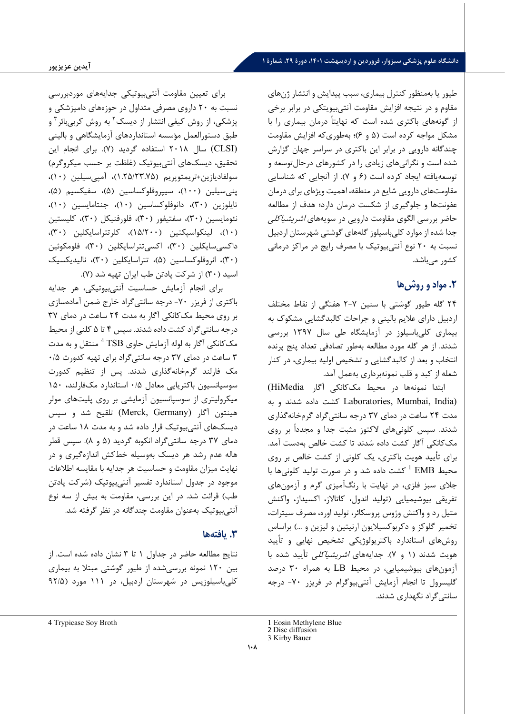طیور یا به منظور کنترل بیماري، سبب پیدایش و انتشار ژنهاي مقاوم و در نتیجه افزایش مقاومت آنتی بیویتکی در برابر برخی از گونههاي باکتري شده است که نهایتاً درمان بیماري را با مشکل مواجه کرده است (5 و 6)؛ به طوري که افزایش مقاومت چندگانه دارویی در برابر ا ین باکتري در سراسر جهان گزارش شده است و نگرانیهاي زیادي را در کشورهاي درحالتوسعه و توسعهیافته ایجاد کرده است (6 و 7). از آنجایی که شناسایی مقاومت هاي دارویی شایع در منطقه، اهمیت ویژهاي براي درمان عفونت ها و جلوگیري از شکست درمان دارد؛ هدف از مطالعه حاضر بررسی الگوي مقاومت دارویی در سویههاي اشریشیاکلی جدا شده از موارد کلیباسیلوز گله هاي گوشتی شهرستان اردبیل نسبت به 20 نوع آنتی بیوتیک با مصرف رایج در مراکز درمانی کشور میباشد.

# **.2 مواد و روش ها**

24 گله طیور گوشتی با سنین 2-7 هفتگی از نقاط مختلف اردبیل داراي علایم بالینی و جراحات کالبدگشایی مشکوك به بیماري کلیباسیلوز در آزمایشگاه طی سال 1397 بررسی شدند. از هر گله مورد مطالعه به طور تصادفی تعداد پنج پرنده انتخاب و بعد از کالبدگشایی و تشخیص اولیه بیماري، در کنار شعله از کبد و قلب نمونه برداري بهعمل آمد.

ابتدا نمونهها در محیط مککانکی آگار HiMedia( (India ,Mumbai ,Laboratories کشت داده شدند و به مدت 24 ساعت در دماي 37 درجه سانتی گراد گرمخانهگذاري شدند. سپس کلونی هاي لاکتوز مثبت جدا و مجدداً بر روي مککانکی آگار کشت داده شدند تا کشت خالص بهدست آمد. براي تأیید هویت باکتري، یک کلونی از کشت خالص بر روي کشت داده شد و در صورت تولید کلونیها با <sup>1</sup> محیط EMB جلاي سبز فلزي، در نهایت با رنگآمیزي گرم و آزمونهاي تفریقی بیوشیمیایی (تولید ان دول، کاتالاز، اکسیداز، واکنش متیل رد و واکنش وژوس پروسکائر، تولید اوره، مصرف سیترات، تخمیر گلوکز و دکربوکسیلایون ارنیتین و لیزین و ...) براساس روشهاي استاندارد باکتریولوژیکی تشخیص نهایی و تأیید هویت شدند (۱ و ۷). جدایههای *اشریشیاکلی* تأیید شده با آزمونهاي بیوشیمیایی، در محیط LB به همراه 30 درصد گلیسرول تا انجام آزمایش آنتی بیوگرام در فریزر -70 درجه سانتیگراد نگهداري شدند.

برای تعیین مقاومت آنتی بیوتیکی جدایههای موردبررسی نسبت به 20 داروي مصرفی متداول در حوزههاي دامپزشکی و پزشکی، از روش کیفی انتشار از دیسک<sup>۲</sup> به روش کربیبائر<sup>۳</sup> و طبق دستورالعمل مؤسسه استانداردهاي آزمایشگاهی و بالینی (CLSI (سال 2018 استفاده گردید (7). براي انجام این تحقیق، دیسکهاي آنتی بیوتیک (غلظت بر حسب میکروگرم) سولفادیازین+تریمتوپریم (1.25/23.75)، آمپی سیلین (10)، پنیسیلین (100)، سیپروفلوکساسین (5)، سفیکسیم (5)، تایلوزین (30)، دانوفلوکساسین (10)، جنتامایسین (10)، نئومایسین (30)، سفتیفور (30)، فلورفنیکل (30)، کلیستین (10)، لینکواسپکتین (15/200)، کلرتتراسایکلین (30)، داکسیسایکلین (30)، اکسی تتراسایکلین (30)، فلومکوئین (30)، انروفلوکساسین (5)، تتراسایکلین (30)، نالیدیکسیک اسید (30) از شرکت پادتن طب ایران تهیه شد (7).

براي انجام آزمایش حساسیت آنتیبیوتیکی، هر جدایه باکتري از فریزر -70 درجه سانتیگراد خارج ضمن آماده سازي بر روي محیط مککانکی آگار به مدت 24 ساعت در دماي 37 درجه سانتیگراد کشت داده شدند. سپس 4 تا 5 کلنی از محیط مککانکی آگار به لوله آزمایش حاوی TSB <sup>4</sup> منتقل و به مدت 3 ساعت در دماي 37 درجه سانتیگراد براي تهیه کدورت 0/5 مک فارلند گرمخانهگذاري شدند. پس از تنظیم کدورت سوسپانسیون باکتریایی معادل 0/5 استاندارد مکفارلند، 150 میکرولیتري از سوسپانسیون آزمایشی بر روي پلیت هاي مولر هینتون آگار (Germany ,Merck (تلقیح شد و سپس دیسکهاي آنتیبیوتیک قرار داده شد و به مدت 18 ساعت در دماي 37 درجه سانتی گراد انکوبه گردید (5 و 8). سپس قطر هاله عدم رشد هر دیسک بهوسیله خط کش اندازهگیري و در نهایت میزان مقاومت و حساسیت هر جدایه با مقایسه اطلاعات موجود در جدول استاندارد تفسیر آنتی بیوتیک (شرکت پادتن طب) قرائت شد. در این بررسی، مقاومت به بیش از سه نوع آنتی بیوتیک به عنوان مقاومت چندگانه در نظر گرفته شد.

## **.3 یافته ها**

نتایج مطالعه حاضر در جداول 1 تا 3 نشان داده شده است. از بین 120 نمونه بررسی شده از طیور گوشتی مبتلا به بیماري کلیباسیلوزیس در شهرستان اردبیل، در 111 مورد (92/5

<sup>1</sup> Eosin Methylene Blue

<sup>2</sup> Disc diffusion

<sup>3</sup> Kirby Bauer

<span id="page-7-1"></span><span id="page-7-0"></span><sup>4</sup> Trypicase Soy Broth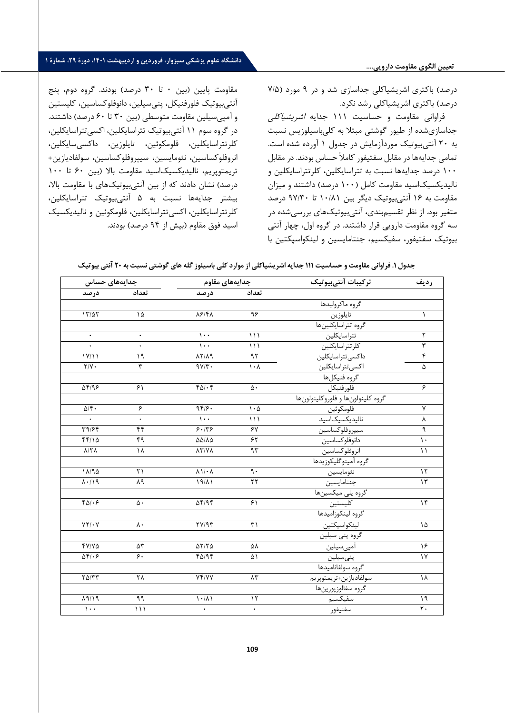#### **تعیین الگوي مقاومت دارویی....**

# **دانشگاه علوم پزشکی سبزوار، فروردین و اردیبهشت ،1401 دورة ،29 شمارة 1**

درصد) باکتري اشریشیاکلی جداسازي شد و در 9 مورد (7/5 درصد) باکتري اشریشیاکلی رشد نکرد.

فراوانی مقاومت و حساسیت 111 جدایه اشریشیاکلی جداسازي شده از طیور گوشتی مبتلا به کلی باسیلوزیس نسبت به 20 آنتیبیوتیک موردآزمایش در جدول 1 آورده شده است. تمامی جدایهها در مقابل سفتیفور کاملاً حساس بودند. در مقابل 100 درصد جدایهها نسبت به تتراسایکلین، کلرتتراسایکلین و نالیدیکسیکاسید مقاومت کامل (100 درصد) داشتند و میزان مقاومت به 16 آنتی بیوتیک دیگر بین 10/81 تا 97/30 درصد متغیر بود. از نظر تقسیمبندي، آنتیبیوتیک هاي بررسیشده در سه گروه مقاومت دارویی قرار داشتند. در گروه اول، چهار آنتی بیوتیک سفتیفور، سفیکسیم، جنتامایسین و لینکواسپکتین با

مقاومت پایین (بین 0 تا 30 درصد) بودند. گروه دوم، پنج آنتی بیوتیک فلورفنیکل، پنی سیلین، دانوفلوکساسین، کلیستین و آمپی سیلین مقاومت متوسطی (بین 30 تا 60 درصد) داشتند. در گروه سوم 11 آنتی بیوتیک تتراسایکلین، اکسی تتراسایکلین، کلرتتراسایکلین، فلومکوئین، تایلوزین، داکسیسایکلین، انروفلوکساسین، نئومایسین، سیپروفلوکساسین، سولفادیازین+ تریمتوپریم، نالیدیکسیکاسید مقاومت بالا (بین 60 تا 100 درصد) نشان دادند که از بین آنتیبیوتیک هاي با مقاومت بالا ، بیشتر جدایهها نسبت به 5 آنتی بیوتیک تتراسایکلین، کلرتتراسایکلین، اکسیتتراسایکلین، فلومکوئین و نالیدیکسیک اسید فوق مقاوم (بیش از 94 درصد) بودند.

|  |  |  |  |  | جدول ۱. فراوانی مقاومت و حساسیت ۱۱۱ جدایه اشریشیاکلی از موارد کلی باسیلوز گله های گوشتی نسبت به ۲۰ اُنتی بیوتیک |  |  |
|--|--|--|--|--|-----------------------------------------------------------------------------------------------------------------|--|--|
|--|--|--|--|--|-----------------------------------------------------------------------------------------------------------------|--|--|

| رديف               | تركيبات آنتىبيوتيك                           | جدايههاى مقاوم<br>جدايەھاي حساس |                                     |                                          |                           |
|--------------------|----------------------------------------------|---------------------------------|-------------------------------------|------------------------------------------|---------------------------|
|                    |                                              | تعداد                           | درصد                                | تعداد                                    | درصد                      |
|                    | گروه ماكروليدها                              |                                 |                                     |                                          |                           |
| $\lambda$          |                                              | ۹۶                              | $\lambda$ ۶/۴ $\lambda$             | ۱۵                                       | 17/27                     |
|                    | تايلوزين<br>گروه تتراسايكلينها               |                                 |                                     |                                          |                           |
| ٢                  | تتراسايكلين                                  | $\binom{1}{1}$                  | $\cdots$                            | $\bullet$                                | $\bullet$                 |
| $\overline{\tau}$  | كلرتتراسايكلين                               | $\binom{1}{1}$                  | $\cdots$                            |                                          |                           |
| ۴                  | داكسى تتراسايكلين                            | 95                              | $\lambda Y/\lambda q$               | 19                                       | $\overline{Y/11}$         |
| ۵                  | اكسى تتراسايكلين                             | $\lambda \cdot \lambda$         | $9Y/\tau$ .                         | ٣                                        | $Y/Y$ .                   |
|                    | گروه فنيكلها                                 |                                 |                                     |                                          |                           |
| ۶                  | فلورفنيكل                                    | ۵٠                              | $f \Delta / \cdot f$                | ۶۱                                       | $\Delta f$ /98            |
|                    | گروه كلينولونها و فلوروكلينولونها            |                                 |                                     |                                          |                           |
| $\mathsf{v}$       | فلومكوئين                                    | $\mathcal{L} \cdot \Delta$      | 98.6                                | ۶                                        | $\Delta/\mathfrak{f}$ .   |
| γ                  |                                              | $\binom{1}{1}$                  | $\mathcal{L}$ .                     | $\bullet$                                |                           |
| ٩                  | سيپروفلوكساسين                               | $\gamma$                        | 9.179                               | $\overline{\mathfrak{f}^{\mathfrak{e}}}$ | T9/56                     |
| $\overline{\cdot}$ | دانوفلوكساسين                                | ۶۲                              | $\Delta\Delta/\Lambda\Delta$        | ۴۹                                       | FF/10                     |
| $\setminus$        | انروفلوكساسين                                | 95                              | $\lambda Y/Y\lambda$                | ١٨                                       | $\lambda$ /٢ $\lambda$    |
|                    | گروه آمينوگليكوزيدها                         |                                 |                                     |                                          |                           |
| $\gamma$           |                                              | ٩.                              | $\lambda \setminus / \cdot \lambda$ | $\mathsf{r}\setminus$                    | 11/90                     |
| $\gamma$           | نئومایسین<br>جنتامایسین<br>گروه پلی میکسینها | $\tau\tau$                      | $19/\lambda$                        | ٨٩                                       | $\lambda \cdot / \lambda$ |
|                    |                                              |                                 |                                     |                                          |                           |
| $\overline{16}$    | كليستين                                      | 51                              | $\Delta f$ /94                      | $\Delta \cdot$                           | $F\Delta/\cdot F$         |
|                    | كروه لينكوزاميدها                            |                                 |                                     |                                          |                           |
| ۱۵                 | لينكواسپكتين                                 | $\uparrow$                      | TY/9T                               | $\lambda$ .                              | $YY/\cdot Y$              |
|                    | گروه پني سيلين                               |                                 |                                     |                                          |                           |
| ۱۶                 | <u>آمپىسيلين</u>                             | ۵٨                              | $\Delta Y/Y\Delta$                  | ۵٣                                       | $YY/Y\Delta$              |
| $\gamma$           | پنىسيلين                                     | ۵۱                              | $f\Delta/9f$                        | ۶.                                       | $\Delta f/\cdot f$        |
|                    | گروه سولفانامیدها                            |                                 |                                     |                                          |                           |
| ١٨                 | سولفادياز <u>ين</u> +تريمتوپريم              | $\Lambda \tau$                  | YF/YY                               | ٢٨                                       | $Y\Delta/YY$              |
|                    | گروه سفالوزيورين ها                          |                                 |                                     |                                          |                           |
| $\eta$             | سفيكسيم                                      | $\gamma$                        | 1.1                                 | $\overline{1}$                           | $\lambda$ 9/19            |
| $\mathsf{r}$ .     | سفتيفور                                      | ۰                               |                                     | $\binom{1}{1}$                           | $\mathcal{L}$ .           |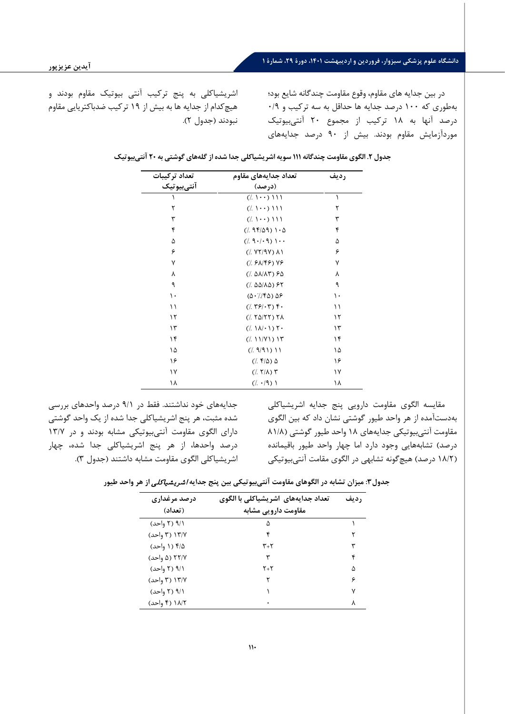در بین جدایه هاي مقاوم، وقوع مقاومت چندگانه شایع بود؛ بهطوري که 100 درصد جدایه ها حداقل به سه ترکیب و 0/9 درصد آنها به 18 ترکیب از مجموع 20 آنتی بیوتیک موردآزمایش مقاوم بودند. بیش از ۹۰ درصد جدایههای

اشریشیاکلی به پنج ترکیب آنتی بیوتیک مقاوم بودند و هیچکدام از جدا یه ها به بیش از 19 ترکیب ضدباکتریایی مقاوم نبودند (جدول 2).

| تعداد جدايههاى مقاوم<br>تعداد تركيبات |                                                                                                            | رديف |
|---------------------------------------|------------------------------------------------------------------------------------------------------------|------|
| آنتي بيوتيک                           | (درصد)                                                                                                     |      |
|                                       | $(1 \cdot \cdot)$ 111                                                                                      | ١    |
| ٢                                     | $(1 \cdot \cdot)$ 111                                                                                      | ٢    |
| ٣                                     | $(1 \cdot \cdot)$ 111                                                                                      | ٣    |
| ۴                                     | $(1.990)$ $1.0$                                                                                            | ۴    |
| ۵                                     | $(1, 9 \cdot 1 \cdot 9)$ \ $\cdot \cdot$                                                                   | ۵    |
| ۶                                     | $($ /. $YY/9Y)$ $\Lambda$ 1                                                                                | ۶    |
| ٧                                     | $($ , $5\lambda$ /۴۶) $Y5$                                                                                 | ٧    |
| ٨                                     | $($ , $\Delta\lambda/\lambda\tau)$ $\epsilon\Delta$                                                        | ٨    |
| ٩                                     | (/ $\Delta\Delta/\lambda\Delta$ ) ۶۲                                                                       | ٩    |
| ١.                                    | $(\Delta \cdot )/\sqrt{6}) \Delta 9$                                                                       | ۱۰   |
| ۱۱                                    | $(1.791 \cdot T)$ .                                                                                        | ۱۱   |
| ۱۲                                    | $($ $($ $\uparrow$ $\uparrow$ $\uparrow$ $\uparrow$ $\uparrow$ $\uparrow$ $\uparrow$ $\uparrow$ $\uparrow$ | ۱۲   |
| ۱۳                                    | $($ / $\wedge$ $\wedge$ $\wedge$ $\wedge$ $\wedge$ $\wedge$                                                | ۱۳   |
| ۱۴                                    | (111/1)17                                                                                                  | ۱۴   |
| ١۵                                    | (1.911)11                                                                                                  | ۱۵   |
| ۱۶                                    | (7.74)                                                                                                     | ۱۶   |
| ۱۷                                    | $($ /. $Y/\lambda)$ $Y$                                                                                    | ۱۷   |
| ۱۸                                    | $((\cdot 9))$                                                                                              | ۱۸   |

|  |  |  |  | جدول ۲. الگوی مقاومت چندگانه ۱۱۱ سویه اشریشیاکلی جدا شده از گلههای گوشتی به ۲۰ آنتیبیوتیک |  |
|--|--|--|--|-------------------------------------------------------------------------------------------|--|
|--|--|--|--|-------------------------------------------------------------------------------------------|--|

جدایههاي خود نداشتند. فقط در 9/1 درصد واحدهاي بررسی شده مثبت، هر پنج اشریشیاکلی جدا شده از یک واحد گوشتی دارای الگوی مقاومت آنتی بیوتیکی مشابه بودند و در ١٣/٧ درصد واحدها، از هر پنج اشریشیاکلی جدا شده، چهار اشریشیاکلی الگوي مقاومت مشابه داشتند (جدول 3).

مقایسه الگوي مقاومت دارویی پنج جدایه اشریشیاکلی بهدست آمده از هر واحد طیور گوشتی نشان داد که بین الگوي مقاومت آنتی بیوتیکی جدایههاي 18 واحد طیور گوشتی (81/8 درصد) تشابههایی وجود دارد اما چهار واحد طیور باقیمانده (18/2 درصد) هیچگونه تشابهی در الگوي مقامت آنتی بیوتیکی

**جدول:3 میزان تشابه در الگوهاي مقاومت آنتی بیوتیکی بین پنج جدایه** اشری شیاکلی **از هر واحد طیور** 

| درصد مرغداری<br>(تعداد) | تعداد جدایههای اشریشیاکلی با الگوی<br>مقاومت دارویی مشابه | ر ديف |
|-------------------------|-----------------------------------------------------------|-------|
| ۹/۱ (۲ واحد)            | ۵                                                         |       |
| ۱۳/۷ (۳ واحد)           |                                                           |       |
| ۲/۵ (۱ واحد)            | $\mathsf{r}_+\mathsf{r}$                                  | ٣     |
| ۲۲/۷ (۵ واحد)           | ٣                                                         | ۴     |
| ۹/۱ (۲ واحد)            | $Y+Y$                                                     | Λ     |
| ۱۳/۷ (۳ واحد)           | ۲                                                         | ۶     |
| ۹/۱ (۲ واحد)            |                                                           | ۷     |
| ۱۸/۲ (۴ واحد)           |                                                           | ٨     |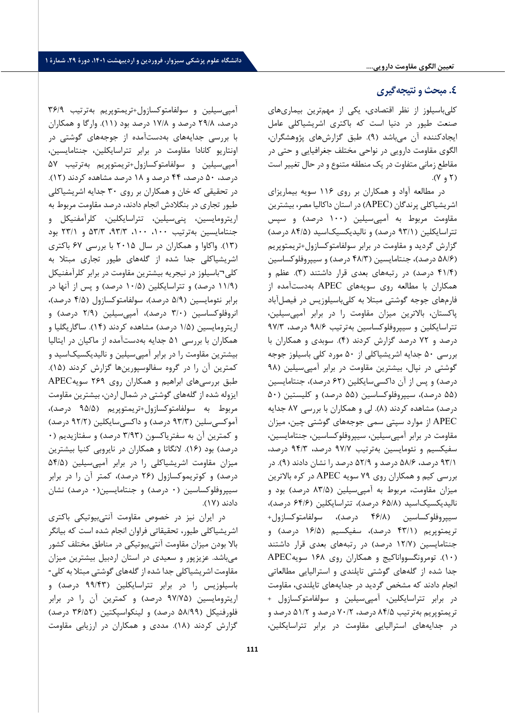### **تعیین الگوي مقاومت دارویی....**

# **.4 مبحث و نتیجه گیري**

کلیباسیلوز از نظر اقتصادي، یکی از مهم ترین بیماري هاي صنعت طیور در دنیا است که باکتری اشریشیاکلی عامل ایجادکننده آن می باشد (9). طبق گزارشهاي پژوهشگران، الگوي مقاومت دارویی در نواحی مختلف جغرافیایی و حتی در مقاطع زمانی متفاوت در یک منطقه متنوع و در حال تغییر است  $(Y, \gamma)$ .

در مطالعه آواد و همکاران بر رو ي 116 سویه بیماریزاي اشریشیاکلی پرندگان (APEC (در استان داکالیا مصر، بیشترین مقاومت مربوط به آمپی سیلین (100 درصد) و سپس تتراسایکلین (/1 93 درصد) و نالیدیکسیکاسید ( 84/5 درصد) گزارش گرد ید و مقاومت در برابر سولفامتوکسازول+تریمتوپریم (۵۸/۶ درصد)، جنتامایسین (۴۸/۳ درصد) و سیپروفلوکساسین (41/4 درصد) در رتبههاي بعدي قرار داشتند (3). عظم و همکاران با مطالعه روي سویههاي APEC بهدست آمده از فارمهاي جوجه گوشتی مبتلا به کلی باسیلوزیس در فیصل آباد پاکستان، بالاترین میزان مقاومت را در برابر آمپی سیلین، تتراسایکلین و سیپروفلوکساسین بهترتیب ۹۸/۶ درصد، ۹۷/۳ درصد و 72 درصد گزارش کردند (4). سوبدي و همکاران با بررسی 50 جدایه اشریشیاکلی از 50 مورد کلی باسیلوز جوجه گوشتی در نپال، بیشترین مقاومت در برابر آمپی سیلین (۹۸ درصد) و پس از آن داکسیسایکلین (62 درصد)، جنتامایسین (۵۵ درصد)، سیپروفلوکساسین (۵۵ درصد) و کلیستین (۵۰ درصد) مشاهده کردند (8). لی و همکاران با بررس ی 87 جدایه APEC از موارد سپتی سمی جوجههاي گوشتی چین، میزان مقاومت در برابر آمپی سیلین، سیپروفلوکساسین، جنتامایسین، سفیکسیم و نئومایسین به ترتیب 97/7 درصد، 94/3 درصد، 93/1 درصد، /6 58 درصد و 52/9 درصد را نشان دادند (9). در بررسی کیم و همکاران روي 79 سویه APEC در کره بالاترین میزان مقاومت، مربوط به آمپی سیلین (83/5 د رصد) بود و نالیدیکسیکاسید (65/8 درصد)، تتراسایکلین ( 64/6 درصد)، سیپروفلوکساس ین (46/8 درصد)، سولفامتوکسازول+ تریمتوپریم (/1 43 درصد)، سفیکسیم (16/5 درصد) و جنتامایسین (/7 12 درصد) در رتبههاي بعدي قرار داشتند (10). تومرونگسوواناکیج و همکاران روي 168 سویهAPEC جدا شده از گله هاي گوشتی تایلندي و استرالیایی مطالعاتی انجام دادند که مشخص گردید در جدایههاي تایلندي، مقاومت در برابر تتراسایکلین، آمپی سیلین و سولفامتوکسازول + تریمتوپریم بهترتیب 84/5 درصد، 70/2 درصد و 51/2 درصد و در جدایههاي استرالیایی مقاومت در برابر تتراسایکلین،

آمپی سیلین و سولفامتوکسازول+تریمتوپریم بهترتیب 36/9 درصد، 29/8 درصد و 17/8 درصد بود (11). وارگا و همکاران با بررسی جدایههاي به دستآمده از جوجههاي گوشتی در اونتاریو کانادا مقاومت در برابر تتراسایکلین، جنتامایسین، آمپی سیلین و سولفامتوکسازول+تریمتوپریم بهترتیب 57 درصد، 50 درصد، 44 درصد و 18 درصد مشاهده کردند (12). در تحقیقی که خان و همکاران بر روي 30 جدایه اشریشیاکلی طیور تجاري در بنگلادش انجام دادند، درصد مقاومت مربوط به اریترومایسین، پنی سیلین، تتراسایکلین، کلرآمفنیکل و جنتامایسین به ترتیب ،100 ،100 ،93/3 53/3 و 23/1 بود (13). واکاوا و همکاران در سال 2015 با بررسی 67 باکتري اشریشیاکلی جدا شده از گله هاي طیور تجاري مبتلا به کلی¬باسیلوز در نیجریه بیشترین مقاومت در برابر کلرآمفنیکل (11/9 درصد) و تتراسایکلین (10/5 درصد) و پس از آنها در برابر نئومایسین (5/9 درصد)، سولفامتوکسازول ( 4/5 درصد)، انروفلوکساسین (3/0 درصد)، آمپی سیلین (/9 2 درصد) و اریترومایسین (1/5 درصد) مشاهده کردند (14). ساگاریگلیا و همکاران با بررسی 51 جدایه بهدستآمده از ماکیان در ایتالیا بیشترین مقاومت را در برابر آمپی سیلین و نال یدیکسیکاسید و کمترین آن را در گروه سفالوسپورینها گزارش کردند (15). طبق بررسیهاي ابراهیم و همکاران روي 269 سویهAPEC ایزوله شده از گلههاي گوشتی در شمال اردن، بیشترین مقاومت مربوط به سولفامتوکسازول+تریمتوپریم (95/5 درصد)، آموکسیسلین (93/3 درصد) و داکسیسایکلین (92/2 درصد) و کمترین آن به سفتریاکسون ( 3/93 درصد) و سفتازیدیم (0 درصد) بود (16). لانگاتا و همکاران در نایروبی کنیا ب یشترین میزان مقاومت اشریشیاکلی را در برابر آمپی سیلین (54/5 درصد) و کوتریموکسازول (26 درصد)، کمتر آن را در برابر سیپروفلوکساسین (0 درصد) و جنتامایسین(0 درصد) نشان دادند (17).

در ایران نیز در خصوص مقاومت آنتیبیوتیکی باکتري اشریشیاکلی طیور، تحقیقاتی فراوان انجام شده است که بیانگر بالا بودن میزان مقاومت آنتیبیوتیکی در مناطق مختلف کشور میباشد. عزیزپور و سعیدي در استان اردبیل ب یشترین میزان مقاومت اشریشیاکلی جدا شده از گلههای گوشتی مبتلا به کلی-باسیلوزیس را در برابر تتراسا یکلین (99/43 درصد) و اریترومایسین (97/75 درصد) و کمترین آن را در برابر فلورفنیکل (۵۸/۹۹ درصد) و لینکواسپکتین (۳۶/۵۲ درصد) گزارش کردند ( 18). مددي و همکاران در ارزیابی مقاومت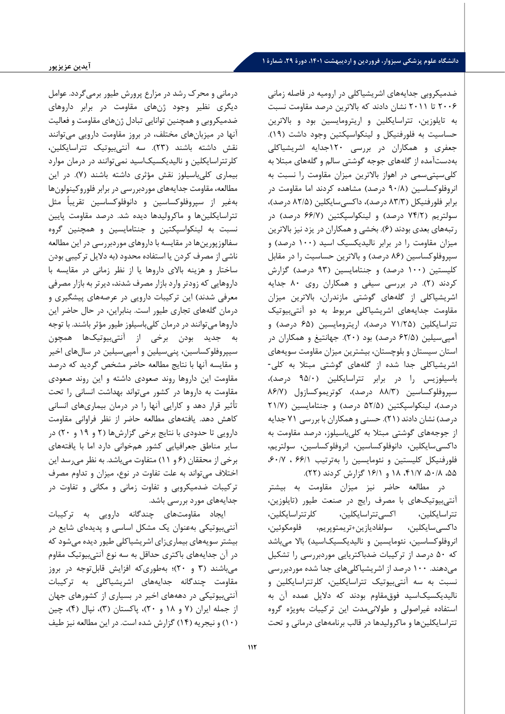درمانی و محرك رشد در مزارع پرورش طیور برمیگردد. عوامل دیگري نظیر وجود ژنهاي مقاومت در برابر داروها ي ضدمیکروبی و همچنین توانایی تبادل ژن هاي مقاومت و فعالیت آنها در میزبانهاي مختلف، در بروز مقاومت دارویی می توانند نقش داشته باشند (23). سه آنتی بیوتیک تتراسایکلین، کلرتتراسایکلین و نالیدیکسیکاسید نمیتوانند در درمان موارد بیماري کلیباسیلوز نقش مؤثر ي داشته باشند (7). در این مطالعه، مقاومت جدایههاي موردبررسی در برابر فلوروکینولونها بهغیر از سپروفلوکساسین و دانوفلوکساسین تقریباً مثل تتراسایکلینها و ماکرولیدها دیده شد. درصد مقاومت پایین نسبت به لینکواسپکتین و جنتامایسین و همچنین گروه سفالوزپورین ها در مقایسه با داروهاي موردبررسی در این مطالعه ناشی از مصرف کردن یا استفاده محدود (به دلایل ترکیبی بودن ساختار و هزینه بالای داروها یا از نظر زمانی در مقایسه با داروهایی که زودتر وارد بازار مصرف شدند، دیرتر به بازار مصرفی معرفی شدند) این ترکیبات دارویی در عرصههاي پیشگیري و درمان گلههاي تجاري طیور است. بنابراین، در حال حاضر این داروها میتوانند در درمان کلیباسیلوز طیور مؤثر باشند. با توجه به جدید بودن برخی از آنتی بیوتیک ها همچون سیپروفلوکساسین، پنی سیلین و آمپی سیلین در سال هاي اخیر و مقایسه آنها با نتایج مطالعه حاضر مشخص گردید که درصد مقاومت این داروها روند صعودي داشته و این روند صعودي مقاومت به داروها در کشور می تواند بهداشت انسانی را تحت تأثیر قرار دهد و کارایی آنها را در درمان بیماري هاي انسانی کاهش دهد. یافتههاي مطالعه حاضر از نظر فراوانی مقاومت دارو یی تا حدود ي با نتایج برخی گزارشها (2 و 19 و 20) در سایر مناطق جعرافیایی کشور همخوانی دارد اما با یافتههاي برخی از محققان (6 و 11) متفاوت میباشد. به نظر می رسد این اختلاف می تواند به علت تفاوت در نوع، م یزان و تداوم مصرف ترکیبات ضدمیکروبی و تفاوت زمانی و مکانی و تفاوت در جدایههاي مورد بررسی باشد.

ایجاد مقاومتهاي چندگانه دارویی به ترکیبات آنتی بیوتیکی بهعنوان یک مشکل اساسی و پدیدهای شایع در بیشتر سویههای بیماریزای اشریشیاکلی طیور دیده می شود که در آن جدا یههاي باکتري حداقل به سه نوع آنتی بیوتیک مقاوم می باشند (3 و 20)؛ به طوري که افزایش قابل توجه در بروز مقاومت چندگانه جدایههاي اشریشیاکلی به ترکیبات آنتی بیوتیکی در دهههاي اخیر در بسیاري از کشورهاي جهان از جمله ایران (7 و 18 و 20)، پاکستان (3)، نپال (4)، چین (10) و ن یجریه (14) گزارش شده است. در این مطالعه نیز طیف

ضدمیکروبی جدایههاي اشریشیاکلی در ارومیه در فاصله زمان ی 2006 تا 2011 نشان دادند که بالاترین درصد مقاومت نسبت به تایلوزین، تتراسایکلین و ار یترومایسین بود و بالاترین حساسیت به فلورفنیکل و لینکواسپکتین وجود داشت (19). جعفري و همکاران در بررسی 120جدایه اشریشیاکلی بهدست آمده از گلههاي جوجه گوشتی سالم و گله هاي مبتلا به کلیسپتیسمی در اهواز بالاترین میزان مقاومت را نسبت به انروفلوکساسین (90/8 درصد) مشاهده کردند اما مقاومت در برابر فلورفنیکل ( 83/3 درصد)، داکسیسایکلین (82/5 درصد)، سولتریم (74/2 درصد) و لینکواسپکتین (66/7 درصد) در رتبههاي بعدي بودند (6). بخشی و همکاران در یزد نیز بالاترین میزان مقاومت را در برابر نالیدیکسیک اسید (100 درصد) و سپروفلوکساسین (86 درصد) و بالاترین حساسیت را در مقابل کلیستین (100 درصد) و جنتامایسین (93 درصد) گزارش کردند (2). در بررسی سیفی و همکاران روي 80 جدایه اشریشیاکلی از گلههای گوشتی مازندران، بالاترین میزان مقاومت جدایههاي اشریشیاکلی مربوط به دو آنتی بیوتیک تتراسایکلین (71/25 درصد)، اریترومایسین (65 درصد) و آمپیسیلین (/5 62 درصد) بود (20). جهانتیغ و همکاران در استان سیستان و بلوچستان، بیشترین میزان مقاومت سویههاي اشریشیاکلی جدا شده از گلههاي گوشتی مبتلا به کلی- باسیلوزیس را در برابر تتراسایکلین (95/0 درصد)، سپروفلوکساسین (88/3 درصد)، کوتریموکسازول (86/7 درصد)، لینکواسپکتین (52/5 درصد) و جنتامایسین (21/7 درصد) نشان دادند (21). حسنی و همکاران با بررسی 71 جدایه از جوجههاي گوشتی مبتلا به کلیباسیلوز، درصد مقاومت به داکسیسایکلین، دانوفلوکساسین، انروفلوکساسین، سولتریم، فلورفنیکل کلیستین و نئومایسین را بهترتیب ۶۶/۱ ، ۶۰/۷، ،55 ،50/8 ،41/7 18 و 16/1 گزارش کردند (22).

در مطالعه حاضر ن یز میزان مقاومت به بیشتر آنتی بیوتیک هاي با مصرف رایج در صنعت طیور (تایلوزین، تتراسایکلین، اکسیتتراسایکلین، کلرتتراسایکلین، داکسیسایکلین، سولفادیازین+تریمتوپریم، فلومکوئ ین، انروفلوکساسین، نئومایسین و نالیدیکسیکاسید) بالا میباشد که ۵۰ درصد از ترکیبات ضدباکتریایی موردبررسی را تشکیل می دهند. 100 درصد از اشریشیاکلیهاي جدا شده موردبررسی نسبت به سه آنتی بیوتیک تتراسایکلین، کلرتتراسایکلین و نالیدیکسیکاسید فوق مقاوم بودند که دلا یل عمده آن به استفاده غیراصولی و طولانی مدت این ترکیبات بهویژه گروه تتراسایکلینها و ماکرولیدها در قالب برنامههاي درمانی و تحت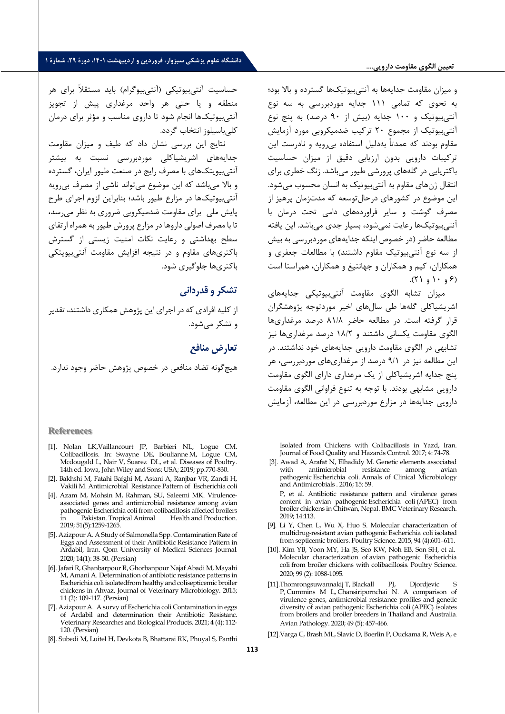#### **تعیین الگوي مقاومت دارویی....**

و میزان مقاومت جدایهها به آنتیبیوتیک ها گسترده و بالا بود؛ به نحوي که تمامی 111 جدایه موردبررسی به سه نوع آنتی بیوتیک و 100 جدایه (بیش از 90 درصد) به پنج نوع آنتی بیوتیک از مجموع 20 ترکیب ضدمیکروبی مورد آزمایش مقاوم بودند که عمدتاً بهدلیل استفاده ب ی رویه و نادرست این ترکیبات دارویی بدون ارزیابی دقیق از میزان حساسیت باکتریایی در گلههاي پرورشی طیور میباشد. زنگ خطري برا ي انتقال ژنهاي مقاوم به آنتی بیوتیک به انسان محسوب میشود. این موضوع در کشورهاي درحالتوسعه که مدت زمان پرهیز از مصرف گوشت و سایر فراوردههاي دامی تحت درمان با آنتی بیوتیک ها رعایت نمی شود، بسیار جدي میباشد. این یافته مطالعه حاضر (در خصوص اینکه جدایههاي موردبررسی به بیش از سه نوع آنتی بیوتیک مقاوم داشتند) با مطالعات جعفري و همکاران، کیم و همکاران و جهانتیغ و همکاران، همراستا است  $(7)$  و  $(1)$  و  $(7)$ .

میزان تشابه الگوي مقاومت آنتی بیوتیکی جدایههاي اشریشیاکلی گلهها طی سال هاي اخیر موردتوجه پژوهشگران قرار گرفته است. در مطالعه حاضر 81/8 درصد مرغداري ها الگوي مقاومت یکسانی داشتند و 18/2 درصد مرغداري ها نیز تشابهی در الگوی مقاومت دارویی جدایههای خود نداشتند. در این مطالعه نیز در 9/1 درصد از مرغداري هاي موردبررسی، هر پنج جدایه اشر یشیاکلی از یک مرغداري داراي الگوي مقاومت دارو یی مشابهی بودند. با توجه به تنوع فراوانی الگوي مقاومت دارو یی جدایهها در مزارع موردبررسی در این مطالعه، آزمایش

Isolated from Chickens with Colibacillosis in Yazd, Iran. Journal of Food Quality and Hazards Control. 2017; 4: 74-78.

[3]. Awad A, Arafat N, Elhadidy M. Genetic elements associated with antimicrobial resistance among avian pathogenic Escherichia coli. Annals of Clinical Microbiology and Antimicrobials . 2016; 15: 59. P, et al. Antibiotic resistance pattern and virulence genes

content in avian pathogenic Escherichia coli (APEC) from broiler chickens in Chitwan, Nepal. BMC Veterinary Research. 2019; 14:113.

- [9]. Li Y, Chen L, Wu X, Huo S. Molecular characterization of multidrug-resistant avian pathogenic Escherichia coli isolated from septicemic broilers. Poultry Science. 2015; 94 (4):601–611.
- [10]. Kim YB, Yoon MY, Ha JS, Seo KW, Noh EB, Son SH, et al. Molecular characterization of avian pathogenic Escherichia coli from broiler chickens with colibacillosis . Poultry Science. 2020; 99 (2): 1088-1095 .
- [11].Thomrongsuwannakij T, Blackall PJ, Djordjevic S P, Cummins M L, Chansiripornchai N. A comparison of virulence genes, antimicrobial resistance profiles and genetic diversity of avian pathogenic Escherichia coli (APEC) isolates from broilers and broiler breeders in Thailand and Australia . Avian Pathology. 2020; 49 (5): 457-466 .
- [12].Varga C, Brash ML, Slavic D, Boerlin P, Ouckama R, Weis A, e

حساسیت آنتی بیوتیکی (آنت ی بیوگرام) باید مستقلاً براي هر منطقه و یا حتی هر واحد مرغداري پیش از تجویز آنتی بیوتیک ها انجام شود تا دارو ي مناسب و مؤثر براي درمان کلے باسیلوز انتخاب گردد.

نتایج این بررس ی نشان داد که طیف و میزان مقاومت جدایههاي اشر یشیاکلی موردبررسی نسبت به بیشتر آنتی بیویتکهاي با مصرف رایج در صنعت ط یور ایران، گسترده و بالا میباشد که این موضوع می تواند ناشی از مصرف بی رویه آنتی بیوتیک ها در مزارع طیور باشد؛ بنابراین لزوم اجراي طرح یایش ملی برای مقاومت ضدمیکروبی ضروری به نظر می رسد، تا با مصرف اصول ی داروها در مزارع پرورش طیور به همراه ارتقاي سطح بهداشتی و رعایت نکات امنیت زیستی از گسترش باکتري هاي مقاوم و در نتیجه افزایش مقاومت آنتی بیویتکی باکتري ها جلوگیري شود.

# **تشکر و قدردانی**

از کلیه افرادي که در اجراي این پژوهش همکاري داشتند، تقدیر و تشکر میشود.

# **تعارض منافع**

هیچگونه تضاد منافعی در خصوص پژوهش حاضر وجود ندارد.

### **References**

- [1]. Nolan LK,Vaillancourt JP, Barbieri NL, Logue CM. Colibacillosis. In: Swayne DE, Boulianne M, Logue CM, Mcdougald L, Nair V, Suarez DL, et al. Diseases of Poultry. 14th ed. Iowa, John Wiley and Sons: USA; 2019; pp.770-830.
- [2]. Bakhshi M, Fatahi Bafghi M, Astani A, Ranjbar VR, Zandi H, Vakili M. Antimicrobial Resistance Pattern of Escherichia coli
- [4]. Azam M, Mohsin M, Rahman, SU, Saleemi MK. Virulenceassociated genes and antimicrobial resistance among avian pathogenic Escherichia coli from colibacillosis affected broilers Pakistan. Tropical Animal 2019; 51(5):1259-1265.
- [5]. Azizpour A. A Study of Salmonella Spp. Contamination Rate of Eggs and Assessment of their Antibiotic Resistance Pattern in Ardabil, Iran. Qom University of Medical Sciences Journal . 2020; 14(1): 38-50. (Persian)
- [6]. Jafari R, Ghanbarpour R, Ghorbanpour Najaf Abadi M, Mayahi M, Amani A. Determination of antibiotic resistance patterns in Escherichia coli isolatedfrom healthy and colisepticemic broiler chickens in Ahvaz. Journal of Veterinary Microbiology. 2015; 11 (2): 109-117. (Persian)
- [7]. Azizpour A. A survy of Escherichia coli Contamination in eggs of Ardabil and determination their Antibiotic Resistanc. Veterinary Researches and Biological Products. 2021; 4 (4): 112- 120. (Persian)
- [8]. Subedi M, Luitel H, Devkota B, Bhattarai RK, Phuyal S, Panthi